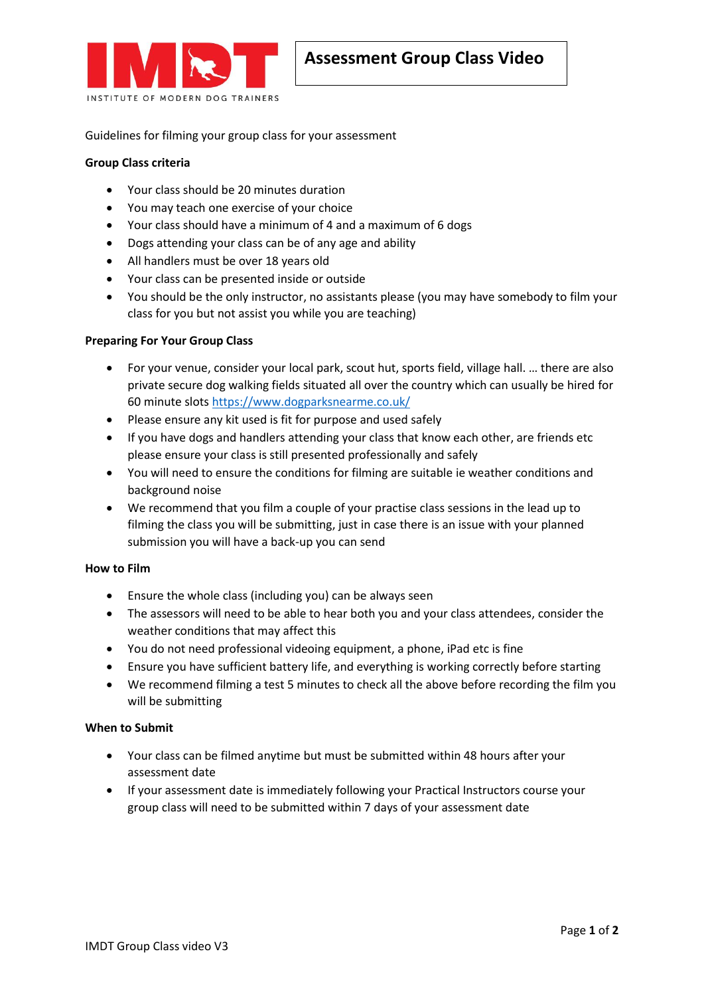

Guidelines for filming your group class for your assessment

# **Group Class criteria**

- Your class should be 20 minutes duration
- You may teach one exercise of your choice
- Your class should have a minimum of 4 and a maximum of 6 dogs
- Dogs attending your class can be of any age and ability
- All handlers must be over 18 years old
- Your class can be presented inside or outside
- You should be the only instructor, no assistants please (you may have somebody to film your class for you but not assist you while you are teaching)

# **Preparing For Your Group Class**

- For your venue, consider your local park, scout hut, sports field, village hall. … there are also private secure dog walking fields situated all over the country which can usually be hired for 60 minute slots<https://www.dogparksnearme.co.uk/>
- Please ensure any kit used is fit for purpose and used safely
- If you have dogs and handlers attending your class that know each other, are friends etc please ensure your class is still presented professionally and safely
- You will need to ensure the conditions for filming are suitable ie weather conditions and background noise
- We recommend that you film a couple of your practise class sessions in the lead up to filming the class you will be submitting, just in case there is an issue with your planned submission you will have a back-up you can send

# **How to Film**

- Ensure the whole class (including you) can be always seen
- The assessors will need to be able to hear both you and your class attendees, consider the weather conditions that may affect this
- You do not need professional videoing equipment, a phone, iPad etc is fine
- Ensure you have sufficient battery life, and everything is working correctly before starting
- We recommend filming a test 5 minutes to check all the above before recording the film you will be submitting

### **When to Submit**

- Your class can be filmed anytime but must be submitted within 48 hours after your assessment date
- If your assessment date is immediately following your Practical Instructors course your group class will need to be submitted within 7 days of your assessment date